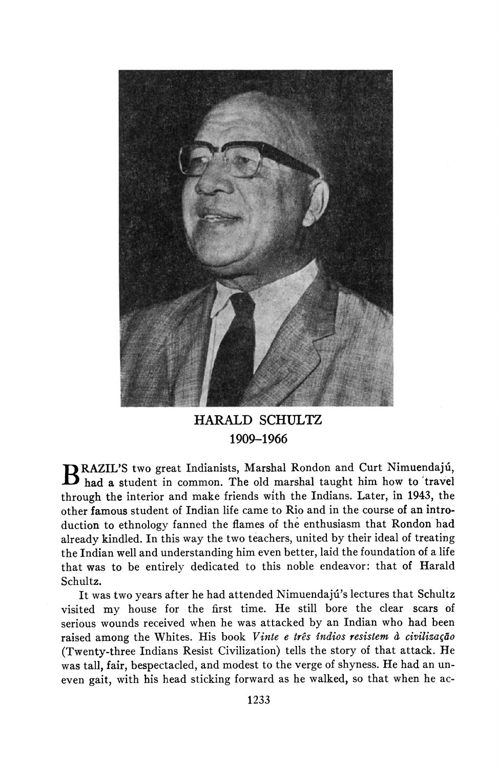

**HARALD SCHULTZ 1909-1966** 

**RAZIL'S two great Indianists, Marshal Rondon and Curt Nimuendajú, had a student in common. The old marshal taught him how to travel through the interior and make friends with the Indians. Later, in 1943, the other famous student of Indian life came to Rio and in the course of an introduction to ethnology fanned the flames of the enthusiasm that Rondon had already kindled. In this way the two teachers, united by their ideal of treating the Indian well and understanding him even better, laid the foundation of a life that was to be entirely dedicated to this noble endeavor: that of Harald Schultz.** 

**It was two years after he had attended Nimuendaju's lectures that Schultz visited my house for the first time. He still bore the clear scars of serious wounds received when he was attacked by an Indian who had been**  raised among the Whites. His book Vinte e três indios resistem à civilização **(Twenty-three Indians Resist Civilization) tells the story of that attack. He was tall, fair, bespectacled, and modest to the verge of shyness. He had an uneven gait, with his head sticking forward as he walked, so that when he ac-**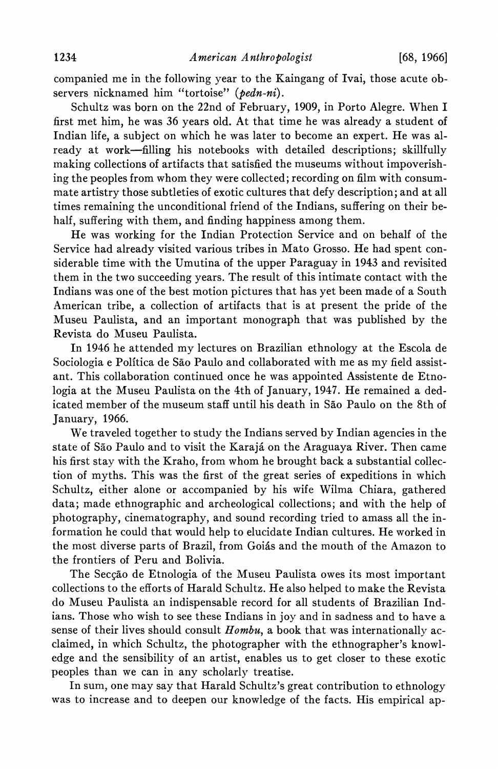**companied me in the following year to the Kaingang of Ivai, those acute observers nicknamed him "tortoise" (pedn-ni).** 

**Schultz was born on the 22nd of February, 1909, in Porto Alegre. When I first met him, he was 36 years old. At that time he was already a student of Indian life, a subject on which he was later to become an expert. He was already at work-filling his notebooks with detailed descriptions; skillfully making collections of artifacts that satisfied the museums without impoverishing the peoples from whom they were collected; recording on film with consummate artistry those subtleties of exotic cultures that defy description; and at all times remaining the unconditional friend of the Indians, suffering on their behalf, suffering with them, and finding happiness among them.** 

**He was working for the Indian Protection Service and on behalf of the Service had already visited various tribes in Mato Grosso. He had spent considerable time with the Umutina of the upper Paraguay in 1943 and revisited them in the two succeeding years. The result of this intimate contact with the Indians was one of the best motion pictures that has yet been made of a South American tribe, a collection of artifacts that is at present the pride of the Museu Paulista, and an important monograph that was published by the Revista do Museu Paulista.** 

**In 1946 he attended my lectures on Brazilian ethnology at the Escola de Sociologia e Politica de Sao Paulo and collaborated with me as my field assistant. This collaboration continued once he was appointed Assistente de Etnologia at the Museu Paulista on the 4th of January, 1947. He remained a dedicated member of the museum staff until his death in Sao Paulo on the 8th of January, 1966.** 

**We traveled together to study the Indians served by Indian agencies in the state of Sao Paulo and to visit the Karaja on the Araguaya River. Then came his first stay with the Kraho, from whom he brought back a substantial collection of myths. This was the first of the great series of expeditions in which Schultz, either alone or accompanied by his wife Wilma Chiara, gathered data; made ethnographic and archeological collections; and with the help of photography, cinematography, and sound recording tried to amass all the information he could that would help to elucidate Indian cultures. He worked in the most diverse parts of Brazil, from Goias and the mouth of the Amazon to the frontiers of Peru and Bolivia.** 

The Secção de Etnologia of the Museu Paulista owes its most important **collections to the efforts of Harald Schultz. He also helped to make the Revista do Museu Paulista an indispensable record for all students of Brazilian Indians. Those who wish to see these Indians in joy and in sadness and to have a sense of their lives should consult Hombu, a book that was internationally acclaimed, in which Schultz, the photographer with the ethnographer's knowledge and the sensibility of an artist, enables us to get closer to these exotic peoples than we can in any scholarly treatise.** 

**In sum, one may say that Harald Schultz's great contribution to ethnology was to increase and to deepen our knowledge of the facts. His empirical ap-**